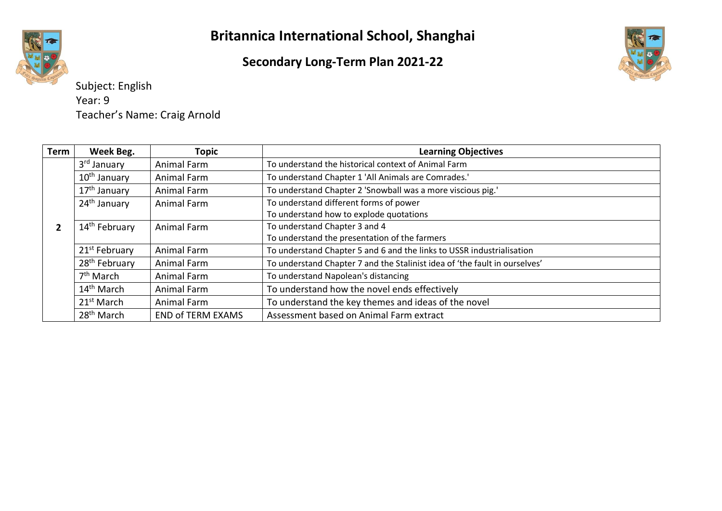### **Secondary Long-Term Plan 2021-22**



Subject: English Year: 9 Teacher's Name: Craig Arnold

| <b>Term</b> | Week Beg.                 | <b>Topic</b>             | <b>Learning Objectives</b>                                                 |
|-------------|---------------------------|--------------------------|----------------------------------------------------------------------------|
|             | 3 <sup>rd</sup> January   | Animal Farm              | To understand the historical context of Animal Farm                        |
|             | 10 <sup>th</sup> January  | Animal Farm              | To understand Chapter 1 'All Animals are Comrades.'                        |
|             | 17 <sup>th</sup> January  | Animal Farm              | To understand Chapter 2 'Snowball was a more viscious pig.'                |
|             | 24 <sup>th</sup> January  | Animal Farm              | To understand different forms of power                                     |
|             |                           |                          | To understand how to explode quotations                                    |
|             | 14 <sup>th</sup> February | Animal Farm              | To understand Chapter 3 and 4                                              |
|             |                           |                          | To understand the presentation of the farmers                              |
|             | 21 <sup>st</sup> February | Animal Farm              | To understand Chapter 5 and 6 and the links to USSR industrialisation      |
|             | 28 <sup>th</sup> February | Animal Farm              | To understand Chapter 7 and the Stalinist idea of 'the fault in ourselves' |
|             | $7th$ March               | Animal Farm              | To understand Napolean's distancing                                        |
|             | 14 <sup>th</sup> March    | Animal Farm              | To understand how the novel ends effectively                               |
|             | $21st$ March              | <b>Animal Farm</b>       | To understand the key themes and ideas of the novel                        |
|             | 28 <sup>th</sup> March    | <b>END of TERM EXAMS</b> | Assessment based on Animal Farm extract                                    |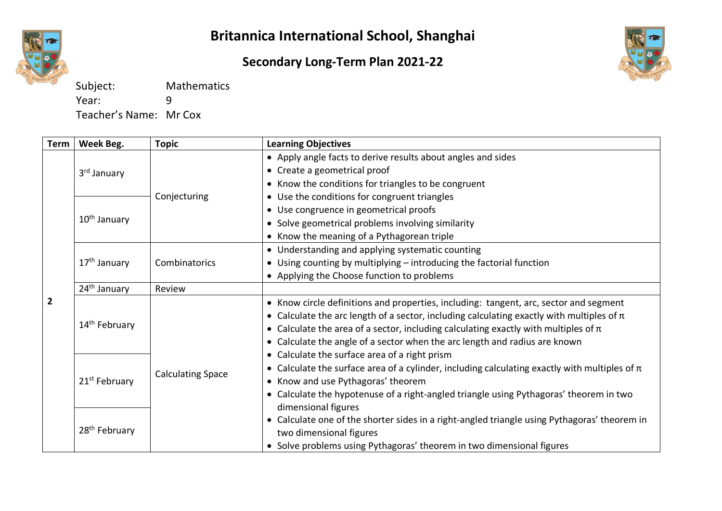

### **Secondary Long-Term Plan 2021-22**



Subject: Mathematics Year: 9 Teacher's Name: Mr Cox

| Term           | Week Beg.                 | <b>Topic</b>             | <b>Learning Objectives</b>                                                                                                                                                                                                                                                                                                                                      |
|----------------|---------------------------|--------------------------|-----------------------------------------------------------------------------------------------------------------------------------------------------------------------------------------------------------------------------------------------------------------------------------------------------------------------------------------------------------------|
|                |                           |                          | • Apply angle facts to derive results about angles and sides<br>• Create a geometrical proof                                                                                                                                                                                                                                                                    |
|                | 3 <sup>rd</sup> January   |                          | • Know the conditions for triangles to be congruent                                                                                                                                                                                                                                                                                                             |
|                |                           | Conjecturing             | • Use the conditions for congruent triangles                                                                                                                                                                                                                                                                                                                    |
|                |                           |                          | • Use congruence in geometrical proofs                                                                                                                                                                                                                                                                                                                          |
|                | 10 <sup>th</sup> January  |                          | • Solve geometrical problems involving similarity                                                                                                                                                                                                                                                                                                               |
|                |                           |                          | • Know the meaning of a Pythagorean triple                                                                                                                                                                                                                                                                                                                      |
|                |                           |                          | • Understanding and applying systematic counting                                                                                                                                                                                                                                                                                                                |
|                | 17 <sup>th</sup> January  | Combinatorics            | • Using counting by multiplying - introducing the factorial function                                                                                                                                                                                                                                                                                            |
|                |                           |                          | • Applying the Choose function to problems                                                                                                                                                                                                                                                                                                                      |
| $\overline{2}$ | 24 <sup>th</sup> January  | Review                   |                                                                                                                                                                                                                                                                                                                                                                 |
|                | 14 <sup>th</sup> February |                          | • Know circle definitions and properties, including: tangent, arc, sector and segment<br>• Calculate the arc length of a sector, including calculating exactly with multiples of $\pi$<br>• Calculate the area of a sector, including calculating exactly with multiples of $\pi$<br>• Calculate the angle of a sector when the arc length and radius are known |
|                | 21 <sup>st</sup> February | <b>Calculating Space</b> | • Calculate the surface area of a right prism<br>• Calculate the surface area of a cylinder, including calculating exactly with multiples of $\pi$<br>• Know and use Pythagoras' theorem<br>Calculate the hypotenuse of a right-angled triangle using Pythagoras' theorem in two<br>$\bullet$<br>dimensional figures                                            |
|                | 28 <sup>th</sup> February |                          | Calculate one of the shorter sides in a right-angled triangle using Pythagoras' theorem in<br>$\bullet$<br>two dimensional figures<br>• Solve problems using Pythagoras' theorem in two dimensional figures                                                                                                                                                     |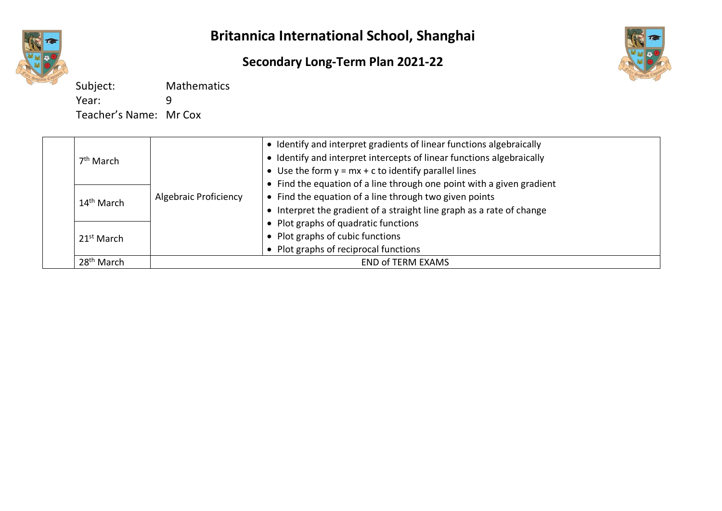

### **Secondary Long-Term Plan 2021-22**



Subject: Mathematics Year: 9 Teacher's Name: Mr Cox

|                                                                                                                                                                                                                                                                                                                                                                                                                                                                                                                                                              | • Identify and interpret gradients of linear functions algebraically |
|--------------------------------------------------------------------------------------------------------------------------------------------------------------------------------------------------------------------------------------------------------------------------------------------------------------------------------------------------------------------------------------------------------------------------------------------------------------------------------------------------------------------------------------------------------------|----------------------------------------------------------------------|
| • Identify and interpret intercepts of linear functions algebraically<br>$7th$ March<br>• Use the form $y = mx + c$ to identify parallel lines<br>• Find the equation of a line through one point with a given gradient<br>• Find the equation of a line through two given points<br>Algebraic Proficiency<br>14 <sup>th</sup> March<br>• Interpret the gradient of a straight line graph as a rate of change<br>• Plot graphs of quadratic functions<br>• Plot graphs of cubic functions<br>21 <sup>st</sup> March<br>• Plot graphs of reciprocal functions |                                                                      |
|                                                                                                                                                                                                                                                                                                                                                                                                                                                                                                                                                              |                                                                      |
|                                                                                                                                                                                                                                                                                                                                                                                                                                                                                                                                                              |                                                                      |
|                                                                                                                                                                                                                                                                                                                                                                                                                                                                                                                                                              |                                                                      |
|                                                                                                                                                                                                                                                                                                                                                                                                                                                                                                                                                              |                                                                      |
|                                                                                                                                                                                                                                                                                                                                                                                                                                                                                                                                                              |                                                                      |
|                                                                                                                                                                                                                                                                                                                                                                                                                                                                                                                                                              |                                                                      |
|                                                                                                                                                                                                                                                                                                                                                                                                                                                                                                                                                              |                                                                      |
| 28 <sup>th</sup> March                                                                                                                                                                                                                                                                                                                                                                                                                                                                                                                                       | <b>END of TERM EXAMS</b>                                             |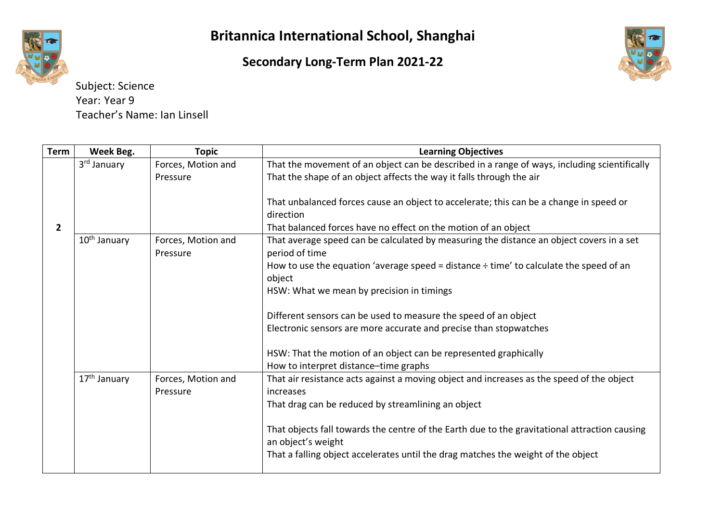**Secondary Long-Term Plan 2021-22**



Subject: Science Year: Year 9 Teacher's Name: Ian Linsell

| Term           | Week Beg.                | <b>Topic</b>                   | <b>Learning Objectives</b>                                                                                          |
|----------------|--------------------------|--------------------------------|---------------------------------------------------------------------------------------------------------------------|
|                | 3 <sup>rd</sup> January  | Forces, Motion and             | That the movement of an object can be described in a range of ways, including scientifically                        |
|                |                          | Pressure                       | That the shape of an object affects the way it falls through the air                                                |
|                |                          |                                |                                                                                                                     |
|                |                          |                                | That unbalanced forces cause an object to accelerate; this can be a change in speed or                              |
|                |                          |                                | direction                                                                                                           |
| $\overline{2}$ |                          |                                | That balanced forces have no effect on the motion of an object                                                      |
|                | 10 <sup>th</sup> January | Forces, Motion and<br>Pressure | That average speed can be calculated by measuring the distance an object covers in a set<br>period of time          |
|                |                          |                                | How to use the equation 'average speed = distance $\div$ time' to calculate the speed of an<br>object               |
|                |                          |                                | HSW: What we mean by precision in timings                                                                           |
|                |                          |                                | Different sensors can be used to measure the speed of an object                                                     |
|                |                          |                                | Electronic sensors are more accurate and precise than stopwatches                                                   |
|                |                          |                                | HSW: That the motion of an object can be represented graphically                                                    |
|                |                          |                                | How to interpret distance-time graphs                                                                               |
|                | 17 <sup>th</sup> January | Forces, Motion and             | That air resistance acts against a moving object and increases as the speed of the object                           |
|                |                          | Pressure                       | increases                                                                                                           |
|                |                          |                                | That drag can be reduced by streamlining an object                                                                  |
|                |                          |                                | That objects fall towards the centre of the Earth due to the gravitational attraction causing<br>an object's weight |
|                |                          |                                | That a falling object accelerates until the drag matches the weight of the object                                   |
|                |                          |                                |                                                                                                                     |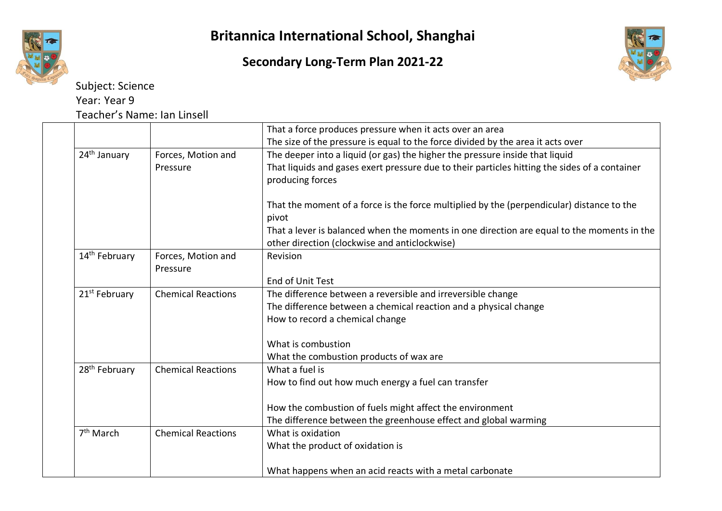





Subject: Science Year: Year 9 Teacher's Name: Ian Linsell

|                           |                           | That a force produces pressure when it acts over an area                                      |
|---------------------------|---------------------------|-----------------------------------------------------------------------------------------------|
|                           |                           | The size of the pressure is equal to the force divided by the area it acts over               |
| 24 <sup>th</sup> January  | Forces, Motion and        | The deeper into a liquid (or gas) the higher the pressure inside that liquid                  |
|                           | Pressure                  | That liquids and gases exert pressure due to their particles hitting the sides of a container |
|                           |                           | producing forces                                                                              |
|                           |                           |                                                                                               |
|                           |                           | That the moment of a force is the force multiplied by the (perpendicular) distance to the     |
|                           |                           | pivot                                                                                         |
|                           |                           | That a lever is balanced when the moments in one direction are equal to the moments in the    |
|                           |                           | other direction (clockwise and anticlockwise)                                                 |
| 14 <sup>th</sup> February | Forces, Motion and        | Revision                                                                                      |
|                           | Pressure                  |                                                                                               |
|                           |                           | End of Unit Test                                                                              |
| 21 <sup>st</sup> February | <b>Chemical Reactions</b> | The difference between a reversible and irreversible change                                   |
|                           |                           | The difference between a chemical reaction and a physical change                              |
|                           |                           | How to record a chemical change                                                               |
|                           |                           |                                                                                               |
|                           |                           | What is combustion                                                                            |
|                           |                           | What the combustion products of wax are                                                       |
| 28 <sup>th</sup> February | <b>Chemical Reactions</b> | What a fuel is                                                                                |
|                           |                           | How to find out how much energy a fuel can transfer                                           |
|                           |                           |                                                                                               |
|                           |                           | How the combustion of fuels might affect the environment                                      |
|                           |                           | The difference between the greenhouse effect and global warming                               |
| 7 <sup>th</sup> March     | <b>Chemical Reactions</b> | What is oxidation                                                                             |
|                           |                           | What the product of oxidation is                                                              |
|                           |                           |                                                                                               |
|                           |                           | What happens when an acid reacts with a metal carbonate                                       |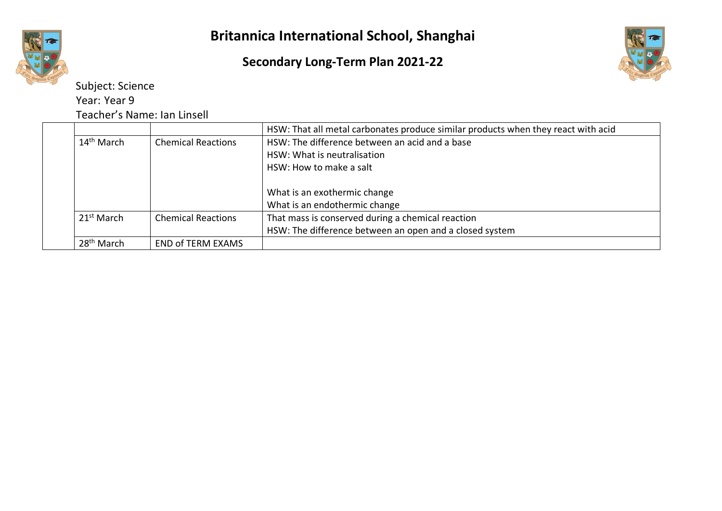



Subject: Science Year: Year 9

Teacher's Name: Ian Linsell

|                        |                           | HSW: That all metal carbonates produce similar products when they react with acid |
|------------------------|---------------------------|-----------------------------------------------------------------------------------|
| 14 <sup>th</sup> March | <b>Chemical Reactions</b> | HSW: The difference between an acid and a base                                    |
|                        |                           | HSW: What is neutralisation                                                       |
|                        |                           | HSW: How to make a salt                                                           |
|                        |                           | What is an exothermic change                                                      |
|                        |                           | What is an endothermic change                                                     |
| 21 <sup>st</sup> March | <b>Chemical Reactions</b> | That mass is conserved during a chemical reaction                                 |
|                        |                           | HSW: The difference between an open and a closed system                           |
| $28th$ March           | <b>END of TERM EXAMS</b>  |                                                                                   |
|                        |                           |                                                                                   |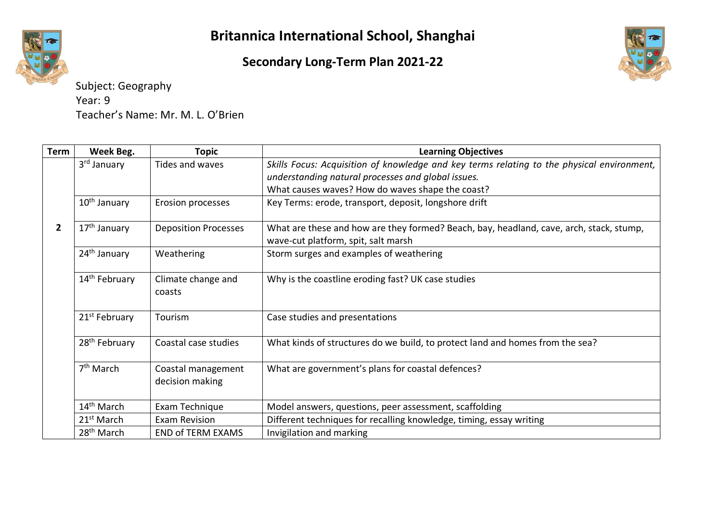### **Secondary Long-Term Plan 2021-22**



Subject: Geography Year: 9 Teacher's Name: Mr. M. L. O'Brien

| Term         | Week Beg.                 | Topic                                 | <b>Learning Objectives</b>                                                                                                                       |
|--------------|---------------------------|---------------------------------------|--------------------------------------------------------------------------------------------------------------------------------------------------|
|              | 3rd January               | Tides and waves                       | Skills Focus: Acquisition of knowledge and key terms relating to the physical environment,<br>understanding natural processes and global issues. |
|              |                           |                                       | What causes waves? How do waves shape the coast?                                                                                                 |
|              | 10 <sup>th</sup> January  | Erosion processes                     | Key Terms: erode, transport, deposit, longshore drift                                                                                            |
| $\mathbf{2}$ | 17 <sup>th</sup> January  | <b>Deposition Processes</b>           | What are these and how are they formed? Beach, bay, headland, cave, arch, stack, stump,<br>wave-cut platform, spit, salt marsh                   |
|              | 24 <sup>th</sup> January  | Weathering                            | Storm surges and examples of weathering                                                                                                          |
|              | 14 <sup>th</sup> February | Climate change and<br>coasts          | Why is the coastline eroding fast? UK case studies                                                                                               |
|              | 21 <sup>st</sup> February | Tourism                               | Case studies and presentations                                                                                                                   |
|              | 28 <sup>th</sup> February | Coastal case studies                  | What kinds of structures do we build, to protect land and homes from the sea?                                                                    |
|              | $7th$ March               | Coastal management<br>decision making | What are government's plans for coastal defences?                                                                                                |
|              | 14 <sup>th</sup> March    | Exam Technique                        | Model answers, questions, peer assessment, scaffolding                                                                                           |
|              | 21 <sup>st</sup> March    | <b>Exam Revision</b>                  | Different techniques for recalling knowledge, timing, essay writing                                                                              |
|              | 28 <sup>th</sup> March    | <b>END of TERM EXAMS</b>              | Invigilation and marking                                                                                                                         |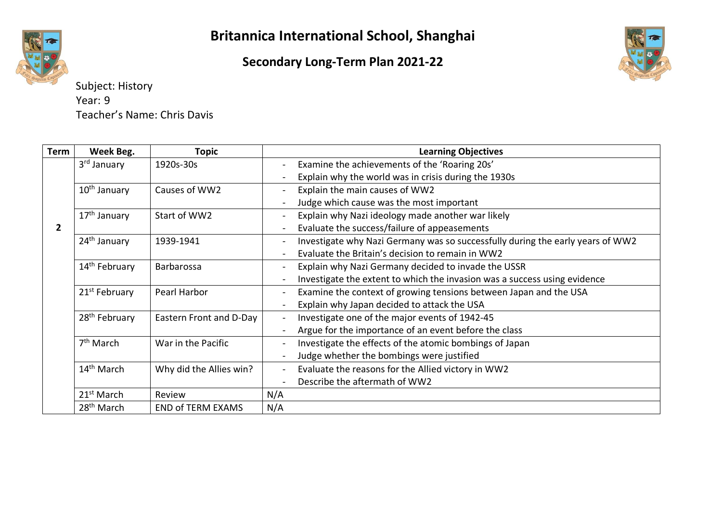### **Secondary Long-Term Plan 2021-22**



Subject: History Year: 9 Teacher's Name: Chris Davis

| Term           | Week Beg.                 | <b>Topic</b>             | <b>Learning Objectives</b>                                                     |
|----------------|---------------------------|--------------------------|--------------------------------------------------------------------------------|
|                | 3rd January               | 1920s-30s                | Examine the achievements of the 'Roaring 20s'                                  |
|                |                           |                          | Explain why the world was in crisis during the 1930s                           |
|                | 10 <sup>th</sup> January  | Causes of WW2            | Explain the main causes of WW2                                                 |
|                |                           |                          | Judge which cause was the most important                                       |
|                | 17 <sup>th</sup> January  | Start of WW2             | Explain why Nazi ideology made another war likely                              |
| $\overline{2}$ |                           |                          | Evaluate the success/failure of appeasements                                   |
|                | 24 <sup>th</sup> January  | 1939-1941                | Investigate why Nazi Germany was so successfully during the early years of WW2 |
|                |                           |                          | Evaluate the Britain's decision to remain in WW2                               |
|                | 14 <sup>th</sup> February | Barbarossa               | Explain why Nazi Germany decided to invade the USSR                            |
|                |                           |                          | Investigate the extent to which the invasion was a success using evidence      |
|                | 21 <sup>st</sup> February | Pearl Harbor             | Examine the context of growing tensions between Japan and the USA              |
|                |                           |                          | Explain why Japan decided to attack the USA                                    |
|                | 28 <sup>th</sup> February | Eastern Front and D-Day  | Investigate one of the major events of 1942-45                                 |
|                |                           |                          | Argue for the importance of an event before the class                          |
|                | 7 <sup>th</sup> March     | War in the Pacific       | Investigate the effects of the atomic bombings of Japan                        |
|                |                           |                          | Judge whether the bombings were justified                                      |
|                | $14th$ March              | Why did the Allies win?  | Evaluate the reasons for the Allied victory in WW2                             |
|                |                           |                          | Describe the aftermath of WW2                                                  |
|                | 21 <sup>st</sup> March    | Review                   | N/A                                                                            |
|                | 28 <sup>th</sup> March    | <b>END of TERM EXAMS</b> | N/A                                                                            |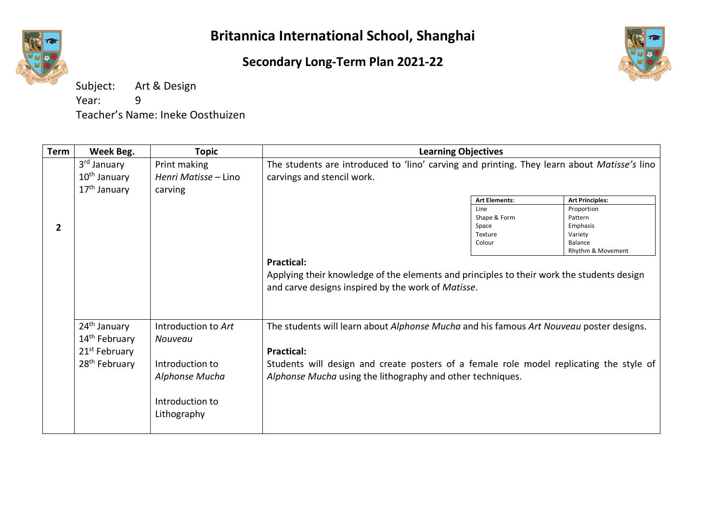### **Secondary Long-Term Plan 2021-22**



Subject: Art & Design Year: 9 Teacher's Name: Ineke Oosthuizen

| Term         | Week Beg.                                                                                                       | <b>Topic</b>                                                                                          | <b>Learning Objectives</b>                                                                                                                                                                                                                                            |                                                    |                                                                              |
|--------------|-----------------------------------------------------------------------------------------------------------------|-------------------------------------------------------------------------------------------------------|-----------------------------------------------------------------------------------------------------------------------------------------------------------------------------------------------------------------------------------------------------------------------|----------------------------------------------------|------------------------------------------------------------------------------|
|              | 3 <sup>rd</sup> January<br>10 <sup>th</sup> January<br>17 <sup>th</sup> January                                 | Print making<br>Henri Matisse – Lino<br>carving                                                       | The students are introduced to 'lino' carving and printing. They learn about Matisse's lino<br>carvings and stencil work.                                                                                                                                             |                                                    |                                                                              |
|              |                                                                                                                 |                                                                                                       |                                                                                                                                                                                                                                                                       | <b>Art Elements:</b>                               | <b>Art Principles:</b>                                                       |
| $\mathbf{2}$ |                                                                                                                 |                                                                                                       |                                                                                                                                                                                                                                                                       | Line<br>Shape & Form<br>Space<br>Texture<br>Colour | Proportion<br>Pattern<br>Emphasis<br>Variety<br>Balance<br>Rhythm & Movement |
|              |                                                                                                                 |                                                                                                       | <b>Practical:</b><br>Applying their knowledge of the elements and principles to their work the students design<br>and carve designs inspired by the work of Matisse.                                                                                                  |                                                    |                                                                              |
|              | 24 <sup>th</sup> January<br>14 <sup>th</sup> February<br>21 <sup>st</sup> February<br>28 <sup>th</sup> February | Introduction to Art<br>Nouveau<br>Introduction to<br>Alphonse Mucha<br>Introduction to<br>Lithography | The students will learn about Alphonse Mucha and his famous Art Nouveau poster designs.<br><b>Practical:</b><br>Students will design and create posters of a female role model replicating the style of<br>Alphonse Mucha using the lithography and other techniques. |                                                    |                                                                              |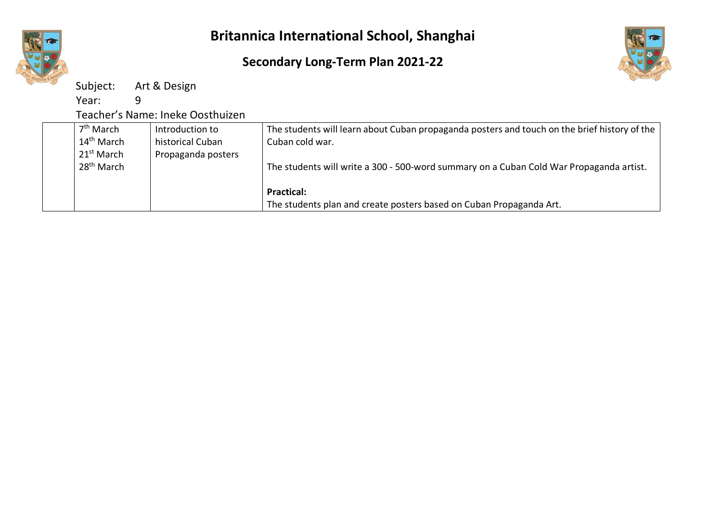

### **Secondary Long-Term Plan 2021-22**



Subject: Art & Design

Year: 9

Teacher's Name: Ineke Oosthuizen

| 7 <sup>th</sup> March  | Introduction to    | The students will learn about Cuban propaganda posters and touch on the brief history of the |
|------------------------|--------------------|----------------------------------------------------------------------------------------------|
| 14 <sup>th</sup> March | historical Cuban   | Cuban cold war.                                                                              |
| 21 <sup>st</sup> March | Propaganda posters |                                                                                              |
| 28 <sup>th</sup> March |                    | The students will write a 300 - 500-word summary on a Cuban Cold War Propaganda artist.      |
|                        |                    |                                                                                              |
|                        |                    | <b>Practical:</b>                                                                            |
|                        |                    | The students plan and create posters based on Cuban Propaganda Art.                          |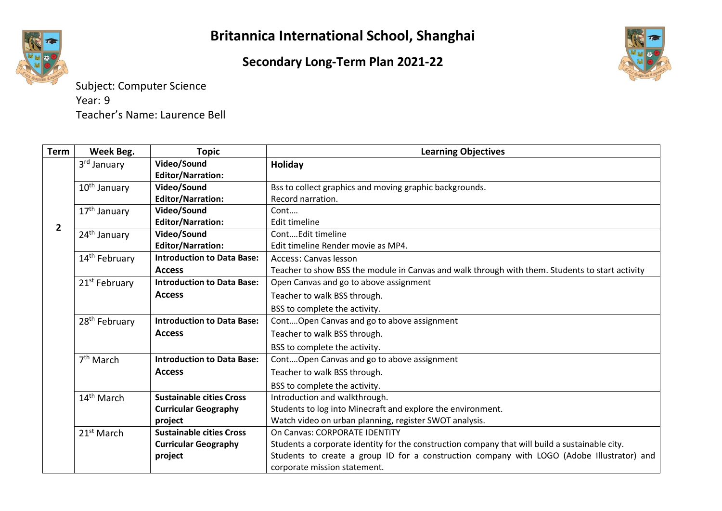### **Secondary Long-Term Plan 2021-22**



Subject: Computer Science Year: 9 Teacher's Name: Laurence Bell

| Term           | Week Beg.                 | <b>Topic</b>                      | <b>Learning Objectives</b>                                                                      |
|----------------|---------------------------|-----------------------------------|-------------------------------------------------------------------------------------------------|
|                | 3 <sup>rd</sup> January   | Video/Sound                       | Holiday                                                                                         |
|                |                           | <b>Editor/Narration:</b>          |                                                                                                 |
|                | 10 <sup>th</sup> January  | Video/Sound                       | Bss to collect graphics and moving graphic backgrounds.                                         |
|                |                           | <b>Editor/Narration:</b>          | Record narration.                                                                               |
|                | 17 <sup>th</sup> January  | Video/Sound                       | Cont                                                                                            |
| $\overline{2}$ |                           | <b>Editor/Narration:</b>          | <b>Edit timeline</b>                                                                            |
|                | 24 <sup>th</sup> January  | Video/Sound                       | ContEdit timeline                                                                               |
|                |                           | <b>Editor/Narration:</b>          | Edit timeline Render movie as MP4.                                                              |
|                | 14 <sup>th</sup> February | <b>Introduction to Data Base:</b> | Access: Canvas lesson                                                                           |
|                |                           | <b>Access</b>                     | Teacher to show BSS the module in Canvas and walk through with them. Students to start activity |
|                | 21 <sup>st</sup> February | <b>Introduction to Data Base:</b> | Open Canvas and go to above assignment                                                          |
|                |                           | <b>Access</b>                     | Teacher to walk BSS through.                                                                    |
|                |                           |                                   | BSS to complete the activity.                                                                   |
|                | 28 <sup>th</sup> February | <b>Introduction to Data Base:</b> | ContOpen Canvas and go to above assignment                                                      |
|                |                           | <b>Access</b>                     | Teacher to walk BSS through.                                                                    |
|                |                           |                                   | BSS to complete the activity.                                                                   |
|                | $7th$ March               | <b>Introduction to Data Base:</b> | ContOpen Canvas and go to above assignment                                                      |
|                |                           | <b>Access</b>                     | Teacher to walk BSS through.                                                                    |
|                |                           |                                   | BSS to complete the activity.                                                                   |
|                | 14 <sup>th</sup> March    | <b>Sustainable cities Cross</b>   | Introduction and walkthrough.                                                                   |
|                |                           | <b>Curricular Geography</b>       | Students to log into Minecraft and explore the environment.                                     |
|                |                           | project                           | Watch video on urban planning, register SWOT analysis.                                          |
|                | 21 <sup>st</sup> March    | <b>Sustainable cities Cross</b>   | On Canvas: CORPORATE IDENTITY                                                                   |
|                |                           | <b>Curricular Geography</b>       | Students a corporate identity for the construction company that will build a sustainable city.  |
|                |                           | project                           | Students to create a group ID for a construction company with LOGO (Adobe Illustrator) and      |
|                |                           |                                   | corporate mission statement.                                                                    |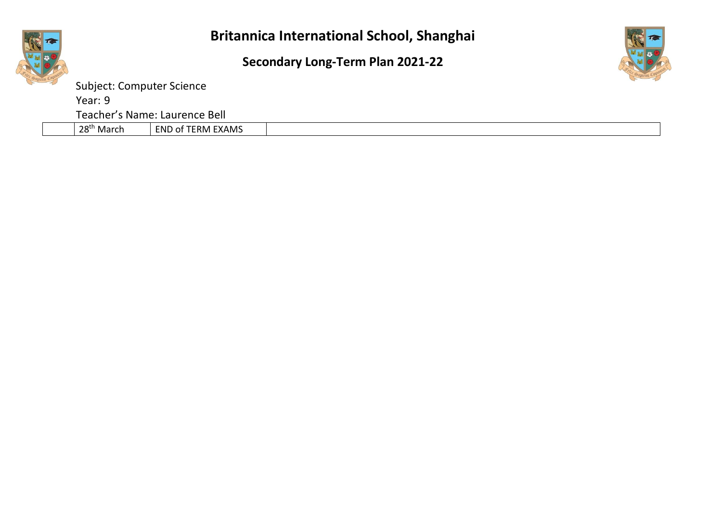



Subject: Computer Science

Year: 9

Teacher's Name: Laurence Bell

|--|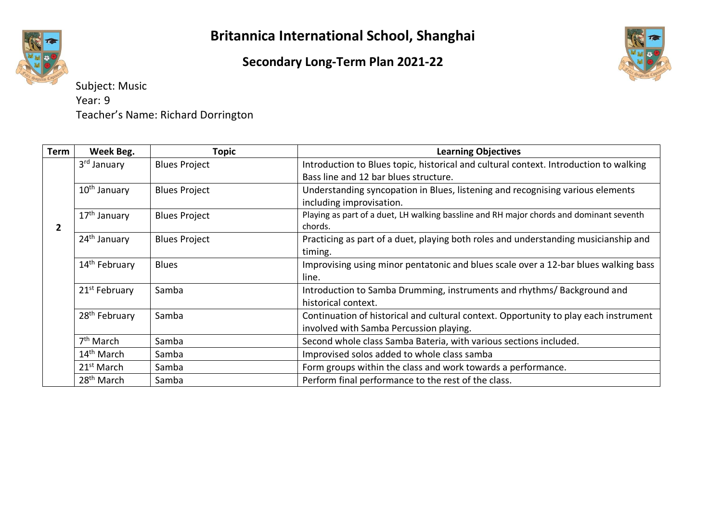### **Secondary Long-Term Plan 2021-22**



Subject: Music Year: 9 Teacher's Name: Richard Dorrington

| Term         | Week Beg.                 | <b>Topic</b>         | <b>Learning Objectives</b>                                                              |
|--------------|---------------------------|----------------------|-----------------------------------------------------------------------------------------|
|              | 3 <sup>rd</sup> January   | <b>Blues Project</b> | Introduction to Blues topic, historical and cultural context. Introduction to walking   |
|              |                           |                      | Bass line and 12 bar blues structure.                                                   |
|              | $10th$ January            | <b>Blues Project</b> | Understanding syncopation in Blues, listening and recognising various elements          |
|              |                           |                      | including improvisation.                                                                |
|              | 17 <sup>th</sup> January  | <b>Blues Project</b> | Playing as part of a duet, LH walking bassline and RH major chords and dominant seventh |
| $\mathbf{2}$ |                           |                      | chords.                                                                                 |
|              | 24 <sup>th</sup> January  | <b>Blues Project</b> | Practicing as part of a duet, playing both roles and understanding musicianship and     |
|              |                           |                      | timing.                                                                                 |
|              | 14 <sup>th</sup> February | <b>Blues</b>         | Improvising using minor pentatonic and blues scale over a 12-bar blues walking bass     |
|              |                           |                      | line.                                                                                   |
|              | 21 <sup>st</sup> February | Samba                | Introduction to Samba Drumming, instruments and rhythms/Background and                  |
|              |                           |                      | historical context.                                                                     |
|              | 28 <sup>th</sup> February | Samba                | Continuation of historical and cultural context. Opportunity to play each instrument    |
|              |                           |                      | involved with Samba Percussion playing.                                                 |
|              | 7 <sup>th</sup> March     | Samba                | Second whole class Samba Bateria, with various sections included.                       |
|              | $14th$ March              | Samba                | Improvised solos added to whole class samba                                             |
|              | 21 <sup>st</sup> March    | Samba                | Form groups within the class and work towards a performance.                            |
|              | 28 <sup>th</sup> March    | Samba                | Perform final performance to the rest of the class.                                     |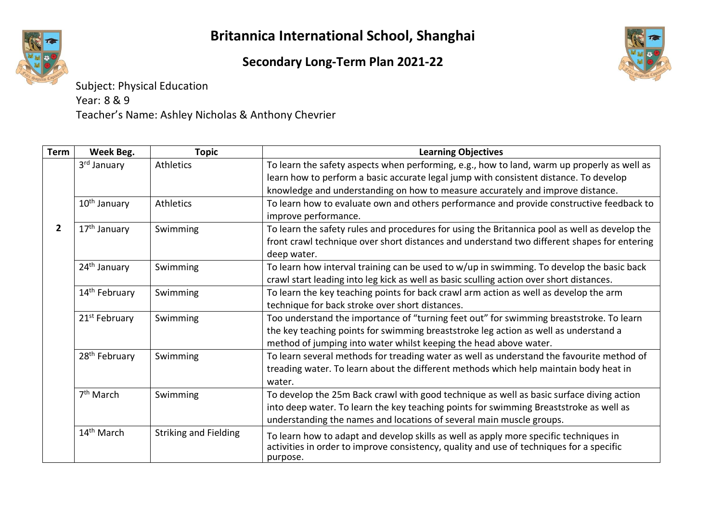## **Secondary Long-Term Plan 2021-22**



Subject: Physical Education Year: 8 & 9 Teacher's Name: Ashley Nicholas & Anthony Chevrier

| <b>Term</b>  | Week Beg.                 | <b>Topic</b>                 | <b>Learning Objectives</b>                                                                    |
|--------------|---------------------------|------------------------------|-----------------------------------------------------------------------------------------------|
|              | 3 <sup>rd</sup> January   | <b>Athletics</b>             | To learn the safety aspects when performing, e.g., how to land, warm up properly as well as   |
|              |                           |                              | learn how to perform a basic accurate legal jump with consistent distance. To develop         |
|              |                           |                              | knowledge and understanding on how to measure accurately and improve distance.                |
|              | 10 <sup>th</sup> January  | Athletics                    | To learn how to evaluate own and others performance and provide constructive feedback to      |
|              |                           |                              | improve performance.                                                                          |
| $\mathbf{2}$ | 17 <sup>th</sup> January  | Swimming                     | To learn the safety rules and procedures for using the Britannica pool as well as develop the |
|              |                           |                              | front crawl technique over short distances and understand two different shapes for entering   |
|              |                           |                              | deep water.                                                                                   |
|              | 24 <sup>th</sup> January  | Swimming                     | To learn how interval training can be used to w/up in swimming. To develop the basic back     |
|              |                           |                              | crawl start leading into leg kick as well as basic sculling action over short distances.      |
|              | 14 <sup>th</sup> February | Swimming                     | To learn the key teaching points for back crawl arm action as well as develop the arm         |
|              |                           |                              | technique for back stroke over short distances.                                               |
|              | 21 <sup>st</sup> February | Swimming                     | Too understand the importance of "turning feet out" for swimming breaststroke. To learn       |
|              |                           |                              | the key teaching points for swimming breaststroke leg action as well as understand a          |
|              |                           |                              | method of jumping into water whilst keeping the head above water.                             |
|              | 28 <sup>th</sup> February | Swimming                     | To learn several methods for treading water as well as understand the favourite method of     |
|              |                           |                              | treading water. To learn about the different methods which help maintain body heat in         |
|              |                           |                              | water.                                                                                        |
|              | 7 <sup>th</sup> March     | Swimming                     | To develop the 25m Back crawl with good technique as well as basic surface diving action      |
|              |                           |                              | into deep water. To learn the key teaching points for swimming Breaststroke as well as        |
|              |                           |                              | understanding the names and locations of several main muscle groups.                          |
|              | 14 <sup>th</sup> March    | <b>Striking and Fielding</b> | To learn how to adapt and develop skills as well as apply more specific techniques in         |
|              |                           |                              | activities in order to improve consistency, quality and use of techniques for a specific      |
|              |                           |                              | purpose.                                                                                      |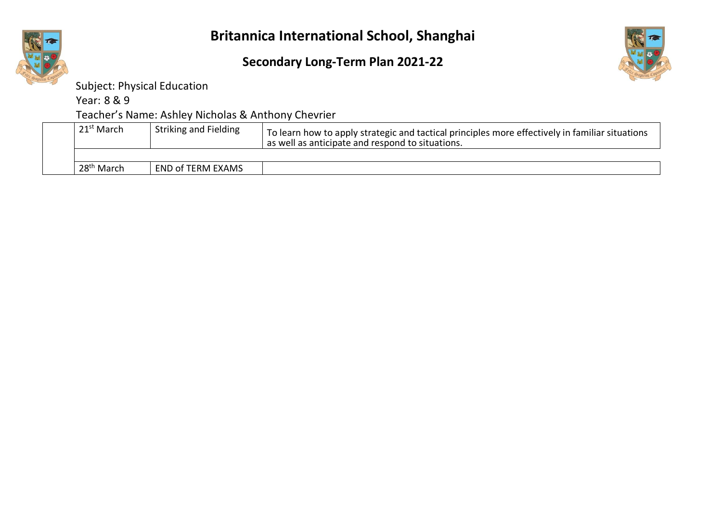

Subject: Physical Education

Year: 8 & 9

Teacher's Name: Ashley Nicholas & Anthony Chevrier

| 21 <sup>st</sup> March | <b>Striking and Fielding</b> | To learn how to apply strategic and tactical principles more effectively in familiar situations<br>as well as anticipate and respond to situations. |
|------------------------|------------------------------|-----------------------------------------------------------------------------------------------------------------------------------------------------|
|                        |                              |                                                                                                                                                     |
| 28 <sup>th</sup> March | <b>END of TERM EXAMS</b>     |                                                                                                                                                     |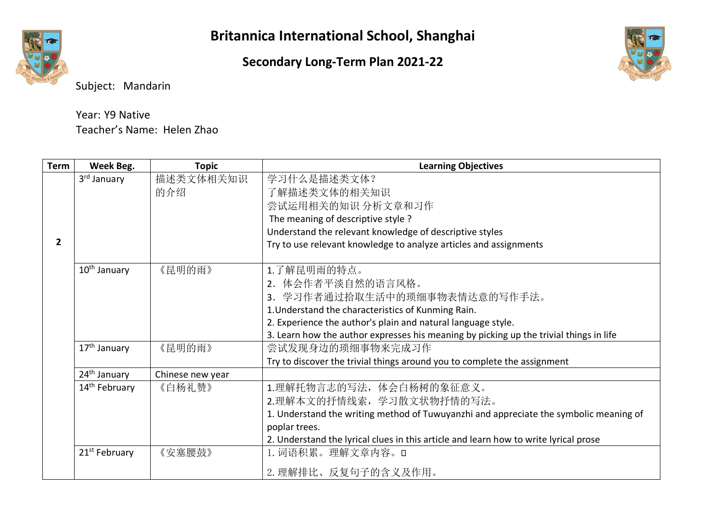### **Secondary Long-Term Plan 2021-22**



Subject: Mandarin

| Year: Y9 Native            |  |
|----------------------------|--|
| Teacher's Name: Helen Zhao |  |

| <b>Term</b>  | Week Beg.                 | <b>Topic</b>     | <b>Learning Objectives</b>                                                                                                                                                                                                                                                        |
|--------------|---------------------------|------------------|-----------------------------------------------------------------------------------------------------------------------------------------------------------------------------------------------------------------------------------------------------------------------------------|
| $\mathbf{2}$ | 3 <sup>rd</sup> January   | 描述类文体相关知识<br>的介绍 | 学习什么是描述类文体?<br>了解描述类文体的相关知识<br>尝试运用相关的知识 分析文章和习作<br>The meaning of descriptive style ?<br>Understand the relevant knowledge of descriptive styles<br>Try to use relevant knowledge to analyze articles and assignments                                                            |
|              | 10 <sup>th</sup> January  | 《昆明的雨》           | 1.了解昆明雨的特点。<br>2. 体会作者平淡自然的语言风格。<br>3. 学习作者通过拾取生活中的琐细事物表情达意的写作手法。<br>1. Understand the characteristics of Kunming Rain.<br>2. Experience the author's plain and natural language style.<br>3. Learn how the author expresses his meaning by picking up the trivial things in life |
|              | 17 <sup>th</sup> January  | 《昆明的雨》           | 尝试发现身边的琐细事物来完成习作<br>Try to discover the trivial things around you to complete the assignment                                                                                                                                                                                      |
|              | 24 <sup>th</sup> January  | Chinese new year |                                                                                                                                                                                                                                                                                   |
|              | 14 <sup>th</sup> February | 《白杨礼赞》           | 1.理解托物言志的写法, 体会白杨树的象征意义。<br>2.理解本文的抒情线索, 学习散文状物抒情的写法。<br>1. Understand the writing method of Tuwuyanzhi and appreciate the symbolic meaning of<br>poplar trees.<br>2. Understand the lyrical clues in this article and learn how to write lyrical prose                           |
|              | 21 <sup>st</sup> February | 《安塞腰鼓》           | 1. 词语积累。理解文章内容。ロ<br>2. 理解排比、反复句子的含义及作用。                                                                                                                                                                                                                                           |